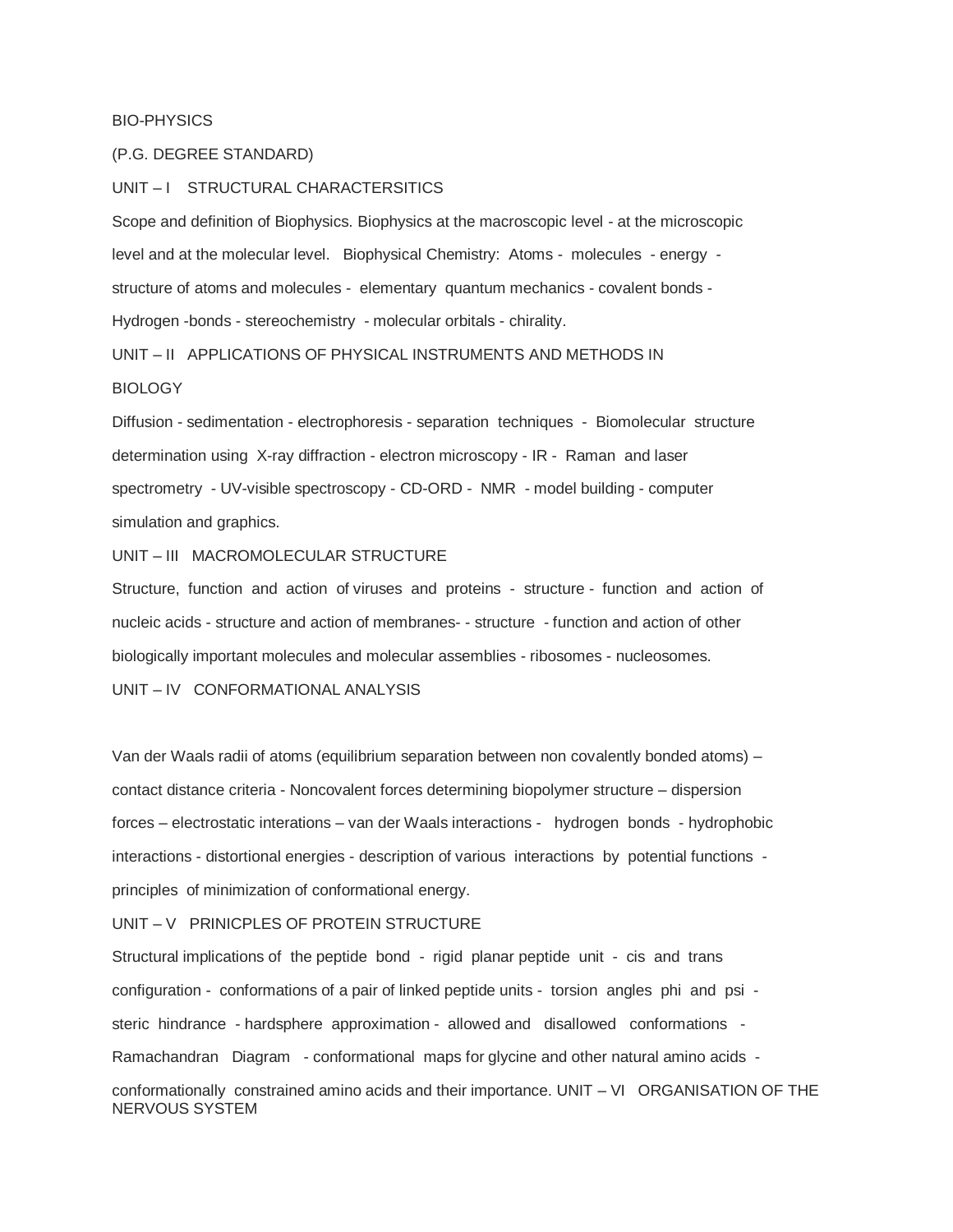### BIO-PHYSICS

# (P.G. DEGREE STANDARD)

### UNIT – I STRUCTURAL CHARACTERSITICS

Scope and definition of Biophysics. Biophysics at the macroscopic level - at the microscopic level and at the molecular level. Biophysical Chemistry: Atoms - molecules - energy structure of atoms and molecules - elementary quantum mechanics - covalent bonds - Hydrogen -bonds - stereochemistry - molecular orbitals - chirality.

UNIT – II APPLICATIONS OF PHYSICAL INSTRUMENTS AND METHODS IN

#### **BIOLOGY**

Diffusion - sedimentation - electrophoresis - separation techniques - Biomolecular structure determination using X-ray diffraction - electron microscopy - IR - Raman and laser spectrometry - UV-visible spectroscopy - CD-ORD - NMR - model building - computer simulation and graphics.

## UNIT – III MACROMOLECULAR STRUCTURE

Structure, function and action of viruses and proteins - structure - function and action of nucleic acids - structure and action of membranes- - structure - function and action of other biologically important molecules and molecular assemblies - ribosomes - nucleosomes.

UNIT – IV CONFORMATIONAL ANALYSIS

Van der Waals radii of atoms (equilibrium separation between non covalently bonded atoms) – contact distance criteria - Noncovalent forces determining biopolymer structure – dispersion forces – electrostatic interations – van der Waals interactions - hydrogen bonds - hydrophobic interactions - distortional energies - description of various interactions by potential functions principles of minimization of conformational energy.

UNIT – V PRINICPLES OF PROTEIN STRUCTURE

Structural implications of the peptide bond - rigid planar peptide unit - cis and trans configuration - conformations of a pair of linked peptide units - torsion angles phi and psi steric hindrance - hardsphere approximation - allowed and disallowed conformations - Ramachandran Diagram - conformational maps for glycine and other natural amino acids conformationally constrained amino acids and their importance. UNIT – VI ORGANISATION OF THE NERVOUS SYSTEM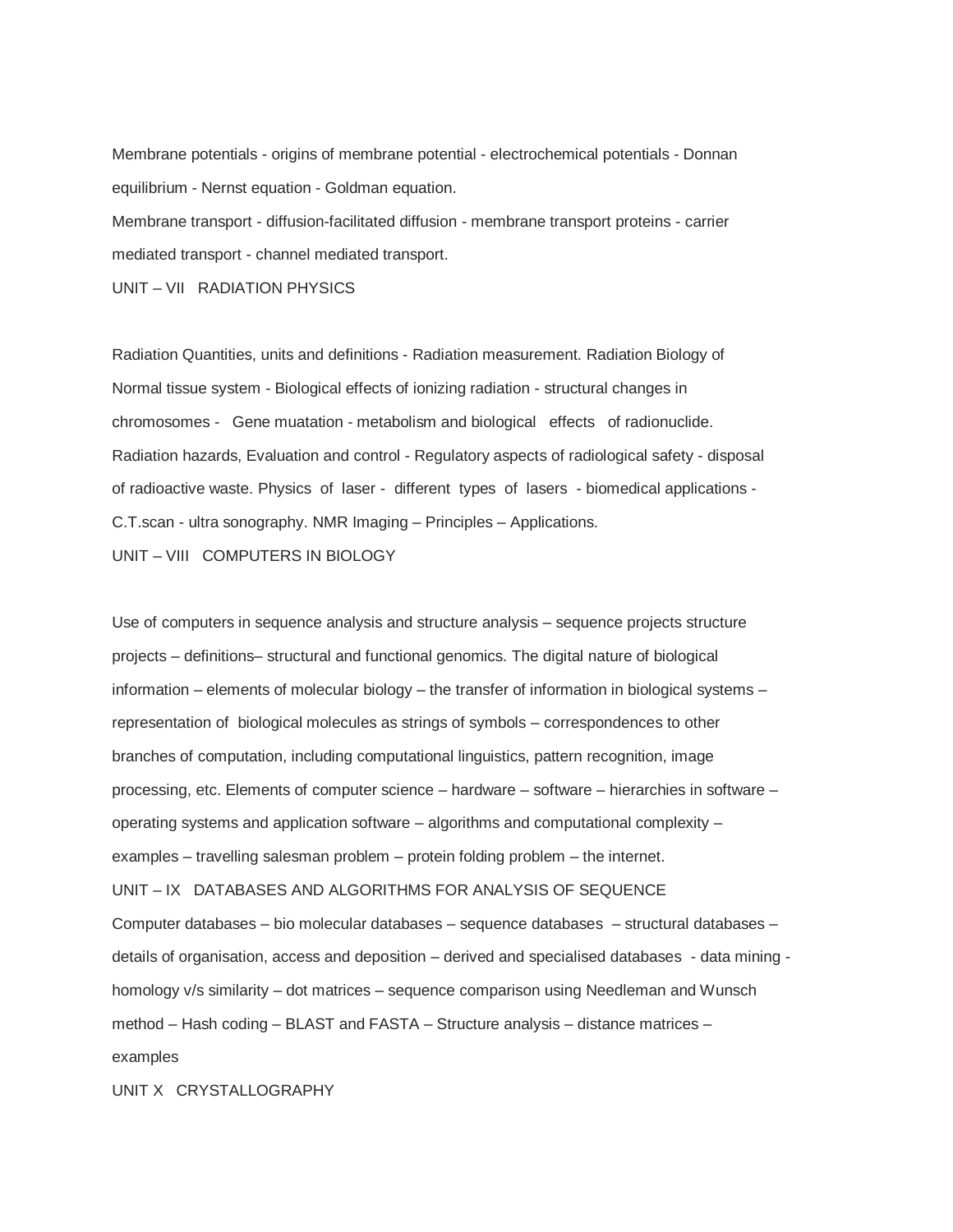Membrane potentials - origins of membrane potential - electrochemical potentials - Donnan equilibrium - Nernst equation - Goldman equation.

Membrane transport - diffusion-facilitated diffusion - membrane transport proteins - carrier mediated transport - channel mediated transport.

UNIT – VII RADIATION PHYSICS

Radiation Quantities, units and definitions - Radiation measurement. Radiation Biology of Normal tissue system - Biological effects of ionizing radiation - structural changes in chromosomes - Gene muatation - metabolism and biological effects of radionuclide. Radiation hazards, Evaluation and control - Regulatory aspects of radiological safety - disposal of radioactive waste. Physics of laser - different types of lasers - biomedical applications - C.T.scan - ultra sonography. NMR Imaging – Principles – Applications. UNIT – VIII COMPUTERS IN BIOLOGY

Use of computers in sequence analysis and structure analysis – sequence projects structure projects – definitions– structural and functional genomics. The digital nature of biological information – elements of molecular biology – the transfer of information in biological systems – representation of biological molecules as strings of symbols – correspondences to other branches of computation, including computational linguistics, pattern recognition, image processing, etc. Elements of computer science – hardware – software – hierarchies in software – operating systems and application software – algorithms and computational complexity – examples – travelling salesman problem – protein folding problem – the internet. UNIT – IX DATABASES AND ALGORITHMS FOR ANALYSIS OF SEQUENCE Computer databases – bio molecular databases – sequence databases – structural databases – details of organisation, access and deposition – derived and specialised databases - data mining homology v/s similarity – dot matrices – sequence comparison using Needleman and Wunsch method – Hash coding – BLAST and FASTA – Structure analysis – distance matrices – examples

UNIT X CRYSTALLOGRAPHY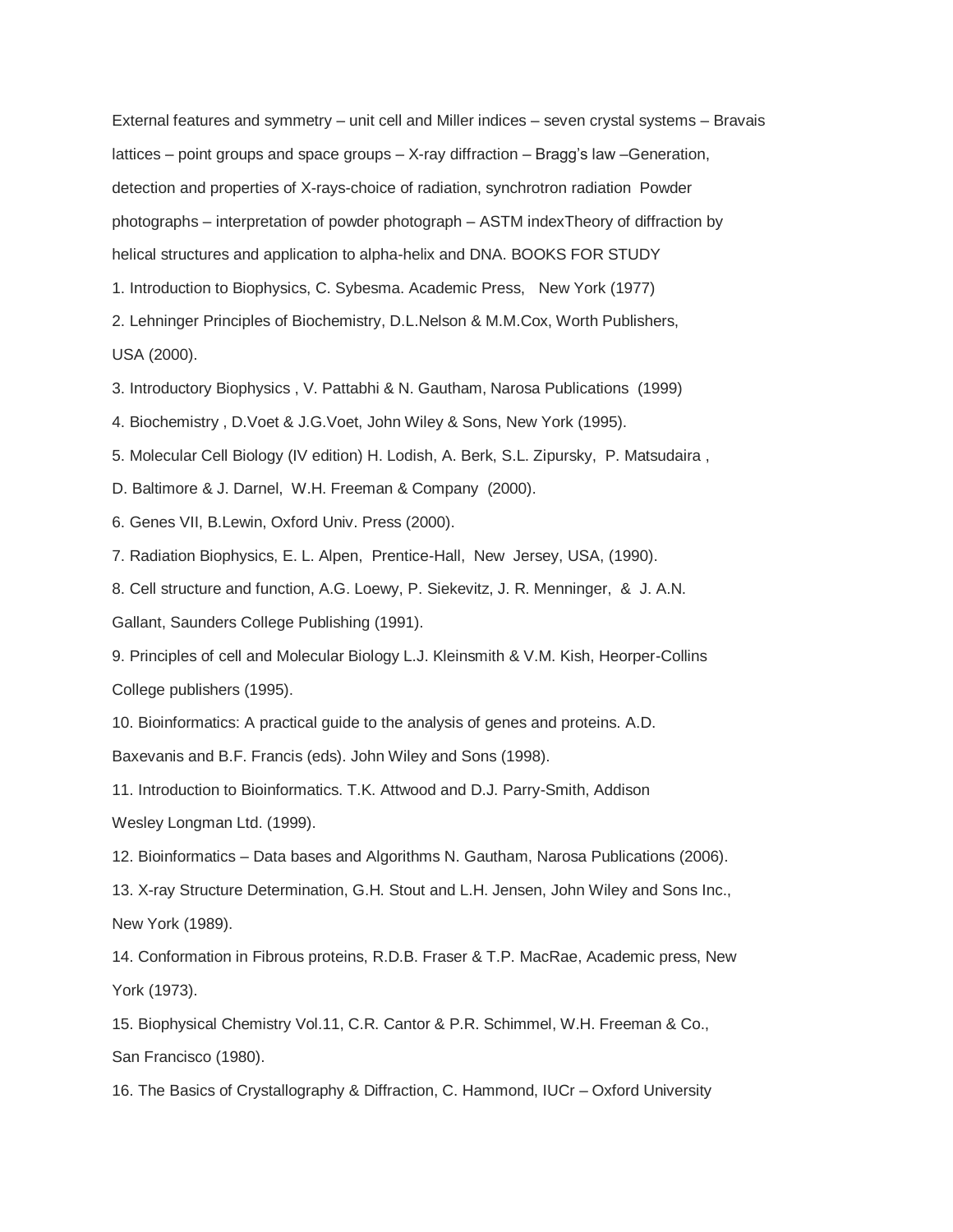External features and symmetry – unit cell and Miller indices – seven crystal systems – Bravais lattices – point groups and space groups – X-ray diffraction – Bragg's law –Generation, detection and properties of X-rays-choice of radiation, synchrotron radiation Powder photographs – interpretation of powder photograph – ASTM indexTheory of diffraction by helical structures and application to alpha-helix and DNA. BOOKS FOR STUDY 1. Introduction to Biophysics, C. Sybesma. Academic Press, New York (1977) 2. Lehninger Principles of Biochemistry, D.L.Nelson & M.M.Cox, Worth Publishers, USA (2000).

- 3. Introductory Biophysics , V. Pattabhi & N. Gautham, Narosa Publications (1999)
- 4. Biochemistry , D.Voet & J.G.Voet, John Wiley & Sons, New York (1995).
- 5. Molecular Cell Biology (IV edition) H. Lodish, A. Berk, S.L. Zipursky, P. Matsudaira ,
- D. Baltimore & J. Darnel, W.H. Freeman & Company (2000).
- 6. Genes VII, B.Lewin, Oxford Univ. Press (2000).

7. Radiation Biophysics, E. L. Alpen, Prentice-Hall, New Jersey, USA, (1990).

8. Cell structure and function, A.G. Loewy, P. Siekevitz, J. R. Menninger, & J. A.N.

Gallant, Saunders College Publishing (1991).

9. Principles of cell and Molecular Biology L.J. Kleinsmith & V.M. Kish, Heorper-Collins College publishers (1995).

10. Bioinformatics: A practical guide to the analysis of genes and proteins. A.D.

Baxevanis and B.F. Francis (eds). John Wiley and Sons (1998).

11. Introduction to Bioinformatics. T.K. Attwood and D.J. Parry-Smith, Addison Wesley Longman Ltd. (1999).

12. Bioinformatics – Data bases and Algorithms N. Gautham, Narosa Publications (2006).

13. X-ray Structure Determination, G.H. Stout and L.H. Jensen, John Wiley and Sons Inc., New York (1989).

14. Conformation in Fibrous proteins, R.D.B. Fraser & T.P. MacRae, Academic press, New York (1973).

15. Biophysical Chemistry Vol.11, C.R. Cantor & P.R. Schimmel, W.H. Freeman & Co., San Francisco (1980).

16. The Basics of Crystallography & Diffraction, C. Hammond, IUCr – Oxford University